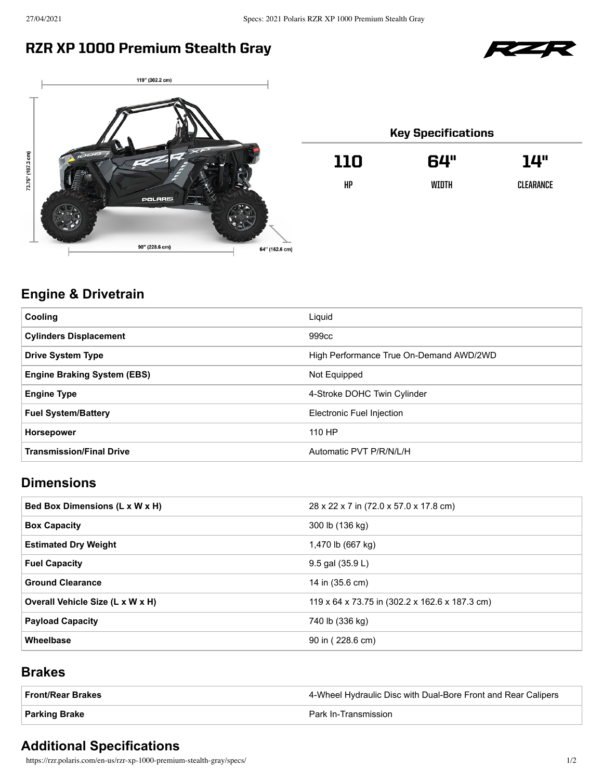## RZR XP 1000 Premium Stealth Gray





| <b>Key Specifications</b> |       |           |
|---------------------------|-------|-----------|
| 110                       | 64"   | 14"       |
| HP                        | WIDTH | CLEARANCE |
|                           |       |           |

## **Engine & Drivetrain**

| Liquid                                  |
|-----------------------------------------|
| 999cc                                   |
| High Performance True On-Demand AWD/2WD |
| Not Equipped                            |
| 4-Stroke DOHC Twin Cylinder             |
| Electronic Fuel Injection               |
| 110 HP                                  |
| Automatic PVT P/R/N/L/H                 |
|                                         |

### **Dimensions**

| Bed Box Dimensions (L x W x H)   | 28 x 22 x 7 in (72.0 x 57.0 x 17.8 cm)         |
|----------------------------------|------------------------------------------------|
| <b>Box Capacity</b>              | 300 lb (136 kg)                                |
| <b>Estimated Dry Weight</b>      | 1,470 lb (667 kg)                              |
| <b>Fuel Capacity</b>             | 9.5 gal (35.9 L)                               |
| <b>Ground Clearance</b>          | 14 in (35.6 cm)                                |
| Overall Vehicle Size (L x W x H) | 119 x 64 x 73.75 in (302.2 x 162.6 x 187.3 cm) |
| <b>Payload Capacity</b>          | 740 lb (336 kg)                                |
| Wheelbase                        | 90 in (228.6 cm)                               |

#### **Brakes**

| Front/Rear Brakes | 4-Wheel Hydraulic Disc with Dual-Bore Front and Rear Calipers |
|-------------------|---------------------------------------------------------------|
| ∣ Parking Brake   | Park In-Transmission                                          |

#### **Additional Specifications**

https://rzr.polaris.com/en-us/rzr-xp-1000-premium-stealth-gray/specs/ 1/2